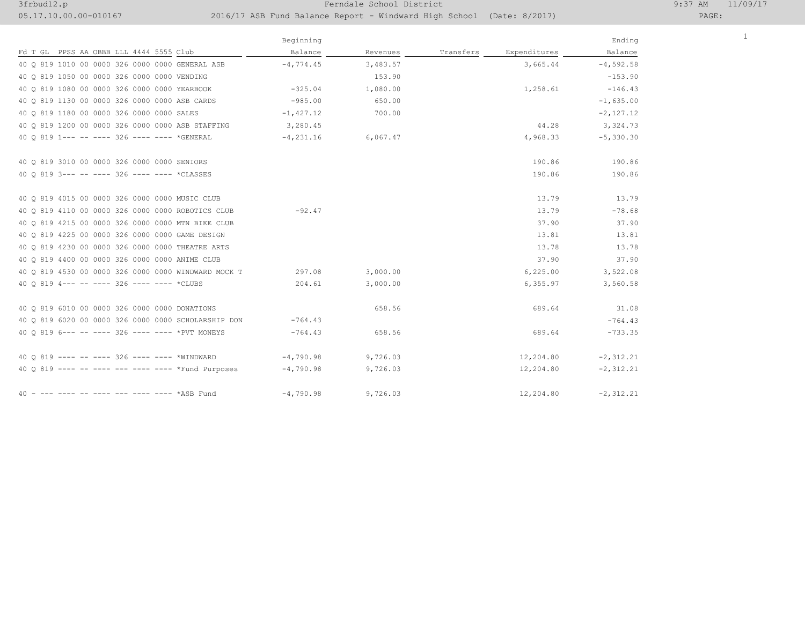## 3frbud12.p Ferndale School District 9:37 AM 11/09/17

## 05.17.10.00.00-010167 2016/17 ASB Fund Balance Report - Windward High School (Date: 8/2017)

1

|                                                     | Beginning     |          |           |              | Ending       |
|-----------------------------------------------------|---------------|----------|-----------|--------------|--------------|
| Fd T GL PPSS AA OBBB LLL 4444 5555 Club             | Balance       | Revenues | Transfers | Expenditures | Balance      |
| 40 0 819 1010 00 0000 326 0000 0000 GENERAL ASB     | $-4,774.45$   | 3,483.57 |           | 3,665.44     | $-4,592.58$  |
| 40 0 819 1050 00 0000 326 0000 0000 VENDING         |               | 153.90   |           |              | $-153.90$    |
| 40 0 819 1080 00 0000 326 0000 0000 YEARBOOK        | $-325.04$     | 1,080.00 |           | 1,258.61     | $-146.43$    |
| 40 0 819 1130 00 0000 326 0000 0000 ASB CARDS       | $-985.00$     | 650.00   |           |              | $-1,635.00$  |
| 40 0 819 1180 00 0000 326 0000 0000 SALES           | $-1,427.12$   | 700.00   |           |              | $-2,127.12$  |
| 40 0 819 1200 00 0000 326 0000 0000 ASB STAFFING    | 3,280.45      |          |           | 44.28        | 3,324.73     |
| 40 0 819 1--- -- ---- 326 ---- ---- *GENERAL        | $-4, 231, 16$ | 6,067.47 |           | 4,968.33     | $-5,330.30$  |
| 40 0 819 3010 00 0000 326 0000 0000 SENIORS         |               |          |           | 190.86       | 190.86       |
| 40 0 819 3 --- -- ---- 326 ---- ---- *CLASSES       |               |          |           | 190.86       | 190.86       |
|                                                     |               |          |           |              |              |
| 40 0 819 4015 00 0000 326 0000 0000 MUSIC CLUB      |               |          |           | 13.79        | 13.79        |
| 40 Q 819 4110 00 0000 326 0000 0000 ROBOTICS CLUB   | $-92.47$      |          |           | 13.79        | $-78.68$     |
| 40 0 819 4215 00 0000 326 0000 0000 MTN BIKE CLUB   |               |          |           | 37.90        | 37.90        |
| 40 0 819 4225 00 0000 326 0000 0000 GAME DESIGN     |               |          |           | 13.81        | 13.81        |
| 40 0 819 4230 00 0000 326 0000 0000 THEATRE ARTS    |               |          |           | 13.78        | 13.78        |
| 40 Q 819 4400 00 0000 326 0000 0000 ANIME CLUB      |               |          |           | 37.90        | 37.90        |
| 40 0 819 4530 00 0000 326 0000 0000 WINDWARD MOCK T | 297.08        | 3,000.00 |           | 6, 225.00    | 3,522.08     |
| 40 0 819 4 --- -- ---- 326 ---- ---- *CLUBS         | 204.61        | 3,000.00 |           | 6, 355.97    | 3,560.58     |
| 40 0 819 6010 00 0000 326 0000 0000 DONATIONS       |               | 658.56   |           | 689.64       | 31.08        |
| 40 0 819 6020 00 0000 326 0000 0000 SCHOLARSHIP DON | $-764.43$     |          |           |              | $-764.43$    |
| 40 0 819 6--- -- ---- 326 ---- ---- *PVT MONEYS     | $-764.43$     | 658.56   |           | 689.64       | $-733.35$    |
| 40 0 819 ---- -- ---- 326 ---- ---- *WINDWARD       | $-4,790.98$   | 9,726.03 |           | 12,204.80    | $-2, 312.21$ |
| 40 0 819 ---- -- ---- --- ---- ---- *Fund Purposes  | $-4,790.98$   | 9,726.03 |           | 12,204.80    | $-2, 312.21$ |
|                                                     |               |          |           |              |              |
| 40 - --- ---- -- ---- --- ---- ---- *ASB Fund       | $-4,790.98$   | 9,726.03 |           | 12,204.80    | $-2, 312.21$ |